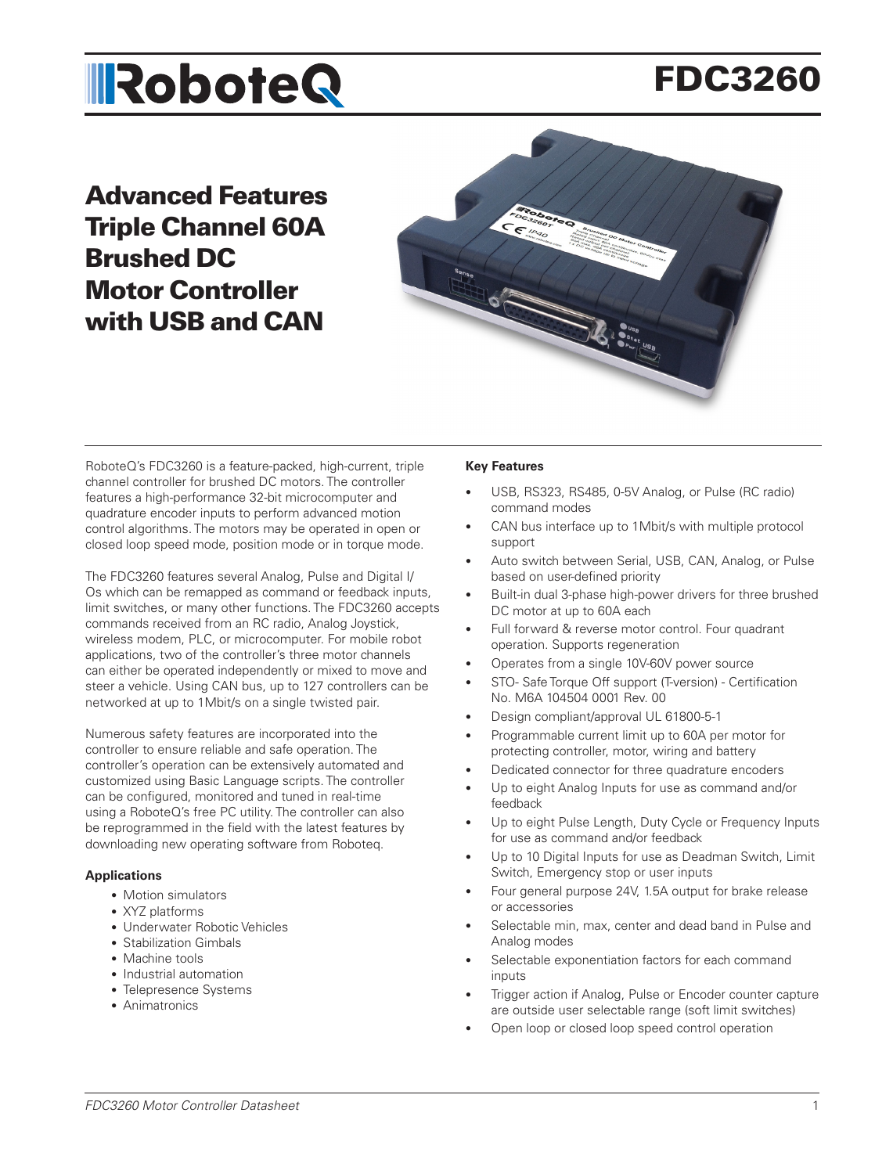# **IRoboteQ**

# FDC3260

## Advanced Features Triple Channel 60A Brushed DC Motor Controller with USB and CAN



RoboteQ's FDC3260 is a feature-packed, high-current, triple channel controller for brushed DC motors. The controller features a high-performance 32-bit microcomputer and quadrature encoder inputs to perform advanced motion control algorithms. The motors may be operated in open or closed loop speed mode, position mode or in torque mode.

The FDC3260 features several Analog, Pulse and Digital I/ Os which can be remapped as command or feedback inputs, limit switches, or many other functions. The FDC3260 accepts commands received from an RC radio, Analog Joystick, wireless modem, PLC, or microcomputer. For mobile robot applications, two of the controller's three motor channels can either be operated independently or mixed to move and steer a vehicle. Using CAN bus, up to 127 controllers can be networked at up to 1Mbit/s on a single twisted pair.

Numerous safety features are incorporated into the controller to ensure reliable and safe operation. The controller's operation can be extensively automated and customized using Basic Language scripts. The controller can be configured, monitored and tuned in real-time using a RoboteQ's free PC utility. The controller can also be reprogrammed in the field with the latest features by downloading new operating software from Roboteq.

#### **Applications**

- Motion simulators
- XYZ platforms
- Underwater Robotic Vehicles
- Stabilization Gimbals
- Machine tools
- Industrial automation
- Telepresence Systems
- Animatronics

#### **Key Features**

- USB, RS323, RS485, 0-5V Analog, or Pulse (RC radio) command modes
- CAN bus interface up to 1Mbit/s with multiple protocol support
- Auto switch between Serial, USB, CAN, Analog, or Pulse based on user-defined priority
- Built-in dual 3-phase high-power drivers for three brushed DC motor at up to 60A each
- Full forward & reverse motor control. Four quadrant operation. Supports regeneration
- Operates from a single 10V-60V power source
- STO- Safe Torque Off support (T-version) Certification No. M6A 104504 0001 Rev. 00
- Design compliant/approval UL 61800-5-1
- Programmable current limit up to 60A per motor for protecting controller, motor, wiring and battery
- Dedicated connector for three quadrature encoders
- Up to eight Analog Inputs for use as command and/or feedback
- Up to eight Pulse Length, Duty Cycle or Frequency Inputs for use as command and/or feedback
- Up to 10 Digital Inputs for use as Deadman Switch, Limit Switch, Emergency stop or user inputs
- Four general purpose 24V, 1.5A output for brake release or accessories
- Selectable min, max, center and dead band in Pulse and Analog modes
- Selectable exponentiation factors for each command inputs
- Trigger action if Analog, Pulse or Encoder counter capture are outside user selectable range (soft limit switches)
- Open loop or closed loop speed control operation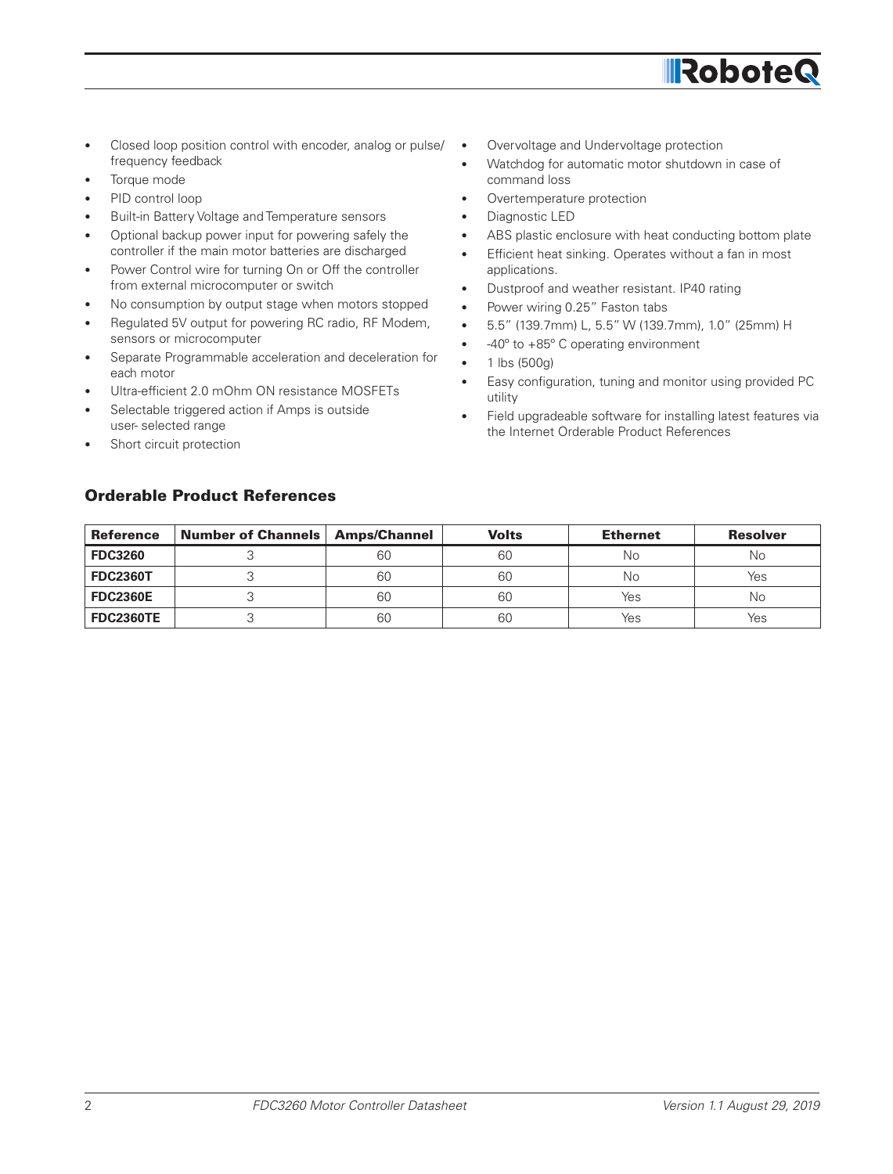

- Closed loop position control with encoder, analog or pulse/ frequency feedback
- Torque mode
- PID control loop
- Built-in Battery Voltage and Temperature sensors
- Optional backup power input for powering safely the controller if the main motor batteries are discharged
- Power Control wire for turning On or Off the controller from external microcomputer or switch
- No consumption by output stage when motors stopped
- Regulated 5V output for powering RC radio, RF Modem, sensors or microcomputer
- Separate Programmable acceleration and deceleration for each motor
- Ultra-efficient 2.0 mOhm ON resistance MOSFETs
- Selectable triggered action if Amps is outside user- selected range
- Short circuit protection
- Overvoltage and Undervoltage protection
- Watchdog for automatic motor shutdown in case of command loss
- Overtemperature protection
- Diagnostic LED
- ABS plastic enclosure with heat conducting bottom plate
- Efficient heat sinking. Operates without a fan in most applications.
- Dustproof and weather resistant. IP40 rating
- Power wiring 0.25" Faston tabs
- 5.5" (139.7mm) L, 5.5" W (139.7mm), 1.0" (25mm) H
- -40º to +85º C operating environment
- $\bullet$  1 lbs (500g)
- Easy configuration, tuning and monitor using provided PC utility
- Field upgradeable software for installing latest features via the Internet Orderable Product References

#### Orderable Product References

| <b>Reference</b> | Number of Channels   Amps/Channel |    | <b>Volts</b> | <b>Ethernet</b> | <b>Resolver</b> |
|------------------|-----------------------------------|----|--------------|-----------------|-----------------|
| <b>FDC3260</b>   |                                   | 60 | 60           | No              | No              |
| <b>FDC2360T</b>  |                                   | 60 | 60           | Νo              | Yes             |
| <b>FDC2360E</b>  |                                   | 60 | 60           | Yes             | Νo              |
| <b>FDC2360TE</b> |                                   | 60 | 60           | Yes             | Yes             |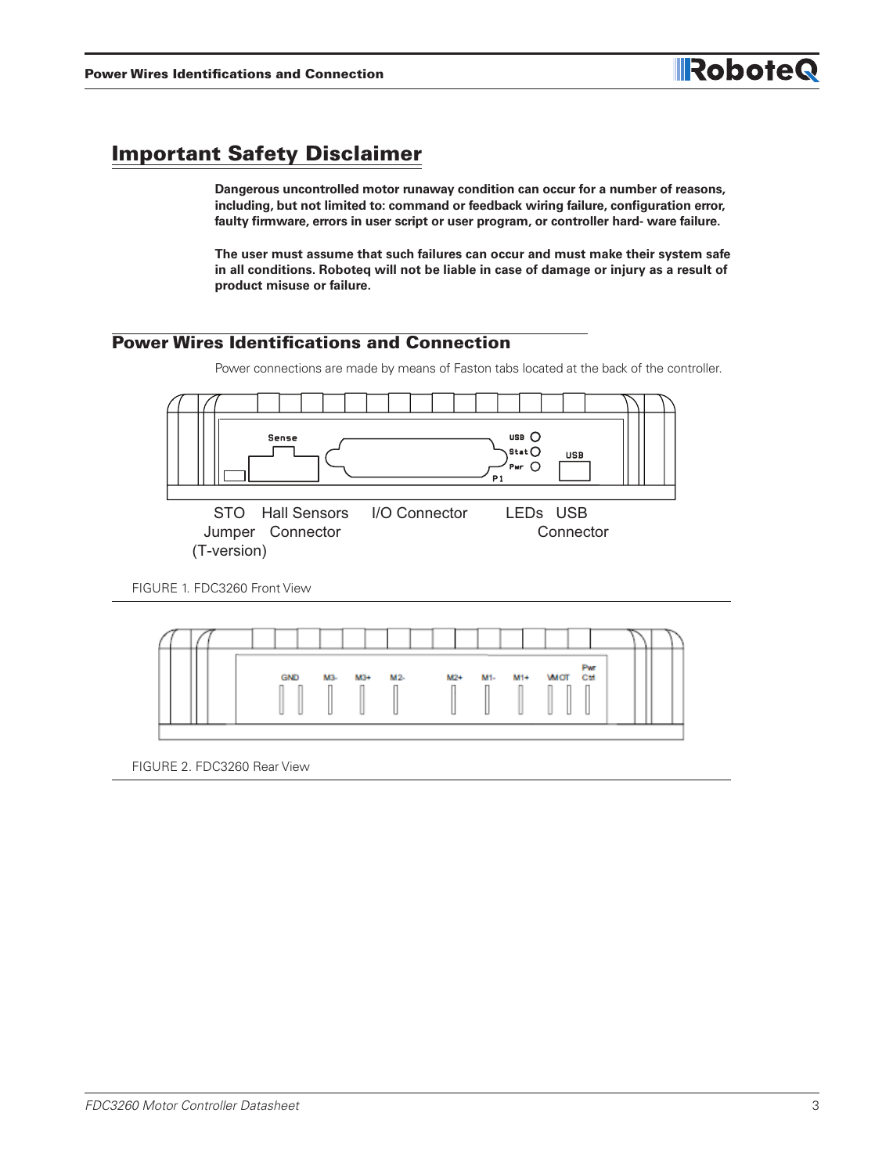### Important Safety Disclaimer

**Dangerous uncontrolled motor runaway condition can occur for a number of reasons, including, but not limited to: command or feedback wiring failure, configuration error, faulty firmware, errors in user script or user program, or controller hard- ware failure.**

**The user must assume that such failures can occur and must make their system safe in all conditions. Roboteq will not be liable in case of damage or injury as a result of product misuse or failure.**

#### Power Wires Identifications and Connection

Power connections are made by means of Faston tabs located at the back of the controller.



FIGURE 1. FDC3260 Front View



FIGURE 2. FDC3260 Rear View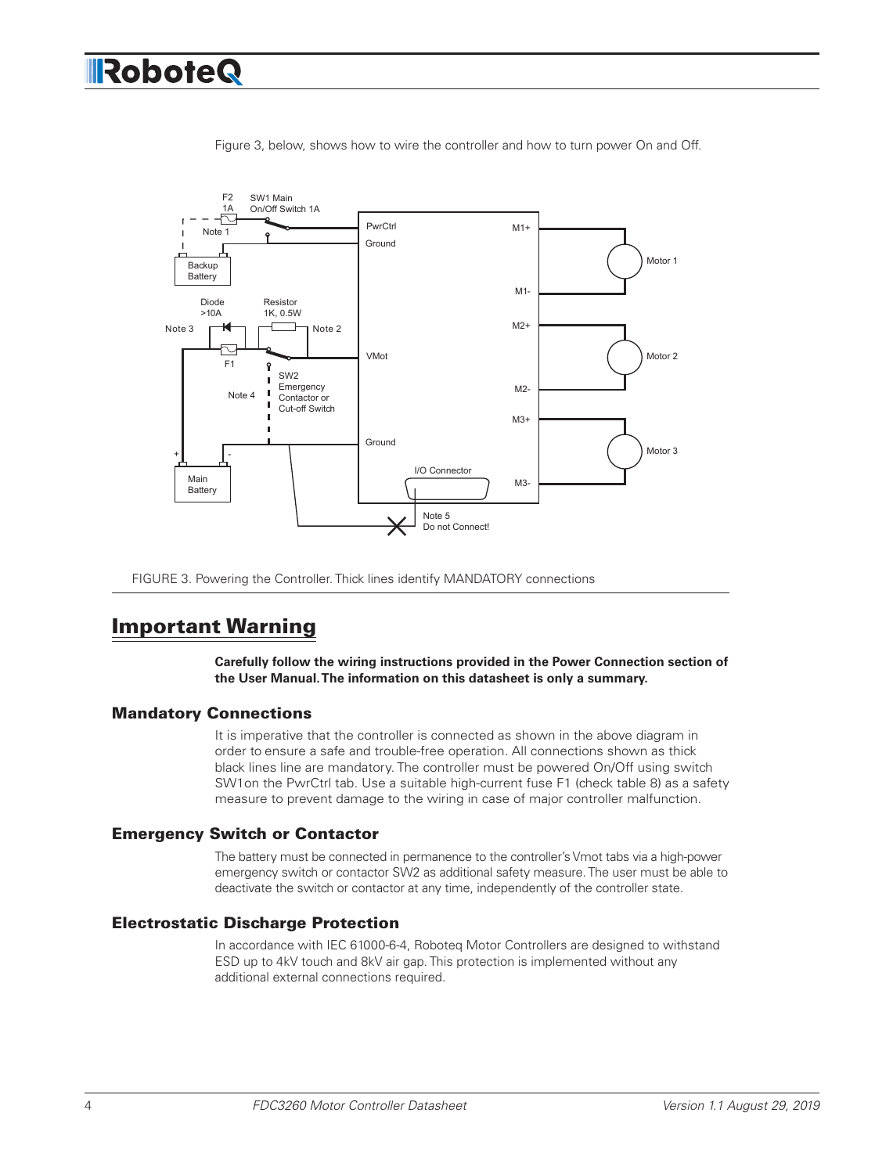

Figure 3, below, shows how to wire the controller and how to turn power On and Off.

FIGURE 3. Powering the Controller. Thick lines identify MANDATORY connections

### Important Warning

**Carefully follow the wiring instructions provided in the Power Connection section of the User Manual. The information on this datasheet is only a summary.**

#### Mandatory Connections

It is imperative that the controller is connected as shown in the above diagram in order to ensure a safe and trouble-free operation. All connections shown as thick black lines line are mandatory. The controller must be powered On/Off using switch SW1on the PwrCtrl tab. Use a suitable high-current fuse F1 (check table 8) as a safety measure to prevent damage to the wiring in case of major controller malfunction.

#### Emergency Switch or Contactor

The battery must be connected in permanence to the controller's Vmot tabs via a high-power emergency switch or contactor SW2 as additional safety measure. The user must be able to deactivate the switch or contactor at any time, independently of the controller state.

#### Electrostatic Discharge Protection

In accordance with IEC 61000-6-4, Roboteq Motor Controllers are designed to withstand ESD up to 4kV touch and 8kV air gap. This protection is implemented without any additional external connections required.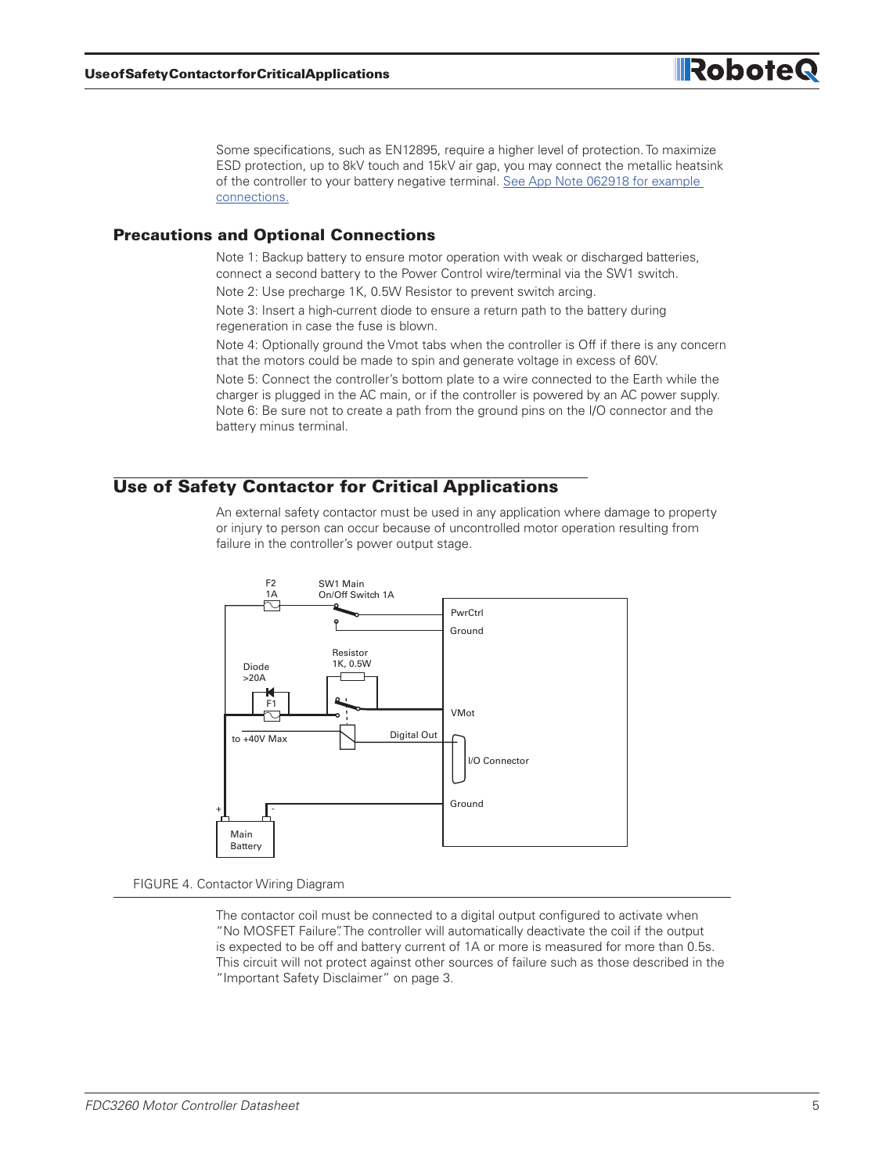

**Robote** 

#### Precautions and Optional Connections

Note 1: Backup battery to ensure motor operation with weak or discharged batteries, connect a second battery to the Power Control wire/terminal via the SW1 switch.

Note 2: Use precharge 1K, 0.5W Resistor to prevent switch arcing.

Note 3: Insert a high-current diode to ensure a return path to the battery during regeneration in case the fuse is blown.

Note 4: Optionally ground the Vmot tabs when the controller is Off if there is any concern that the motors could be made to spin and generate voltage in excess of 60V.

Note 5: Connect the controller's bottom plate to a wire connected to the Earth while the charger is plugged in the AC main, or if the controller is powered by an AC power supply. Note 6: Be sure not to create a path from the ground pins on the I/O connector and the battery minus terminal.

#### Use of Safety Contactor for Critical Applications

An external safety contactor must be used in any application where damage to property or injury to person can occur because of uncontrolled motor operation resulting from failure in the controller's power output stage.



FIGURE 4. Contactor Wiring Diagram

The contactor coil must be connected to a digital output configured to activate when "No MOSFET Failure". The controller will automatically deactivate the coil if the output is expected to be off and battery current of 1A or more is measured for more than 0.5s. This circuit will not protect against other sources of failure such as those described in the "Important Safety Disclaimer" on page 3.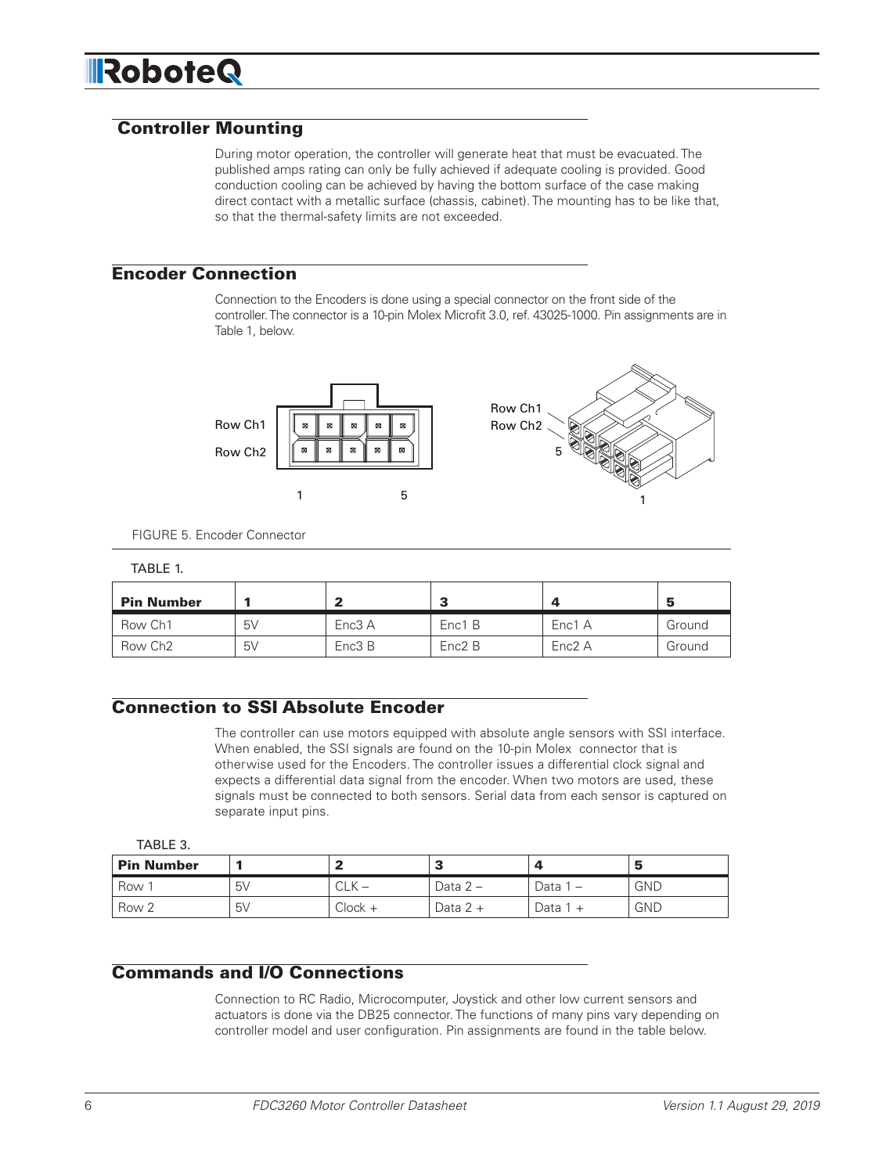# **IRoboteQ**

#### Controller Mounting

During motor operation, the controller will generate heat that must be evacuated. The published amps rating can only be fully achieved if adequate cooling is provided. Good conduction cooling can be achieved by having the bottom surface of the case making direct contact with a metallic surface (chassis, cabinet). The mounting has to be like that, so that the thermal-safety limits are not exceeded.

#### Encoder Connection

Connection to the Encoders is done using a special connector on the front side of the controller. The connector is a 10-pin Molex Microfit 3.0, ref. 43025-1000. Pin assignments are in Table 1, below.



|  |  | FIGURE 5. Encoder Connector |
|--|--|-----------------------------|
|--|--|-----------------------------|

#### TABLE 1.

| <b>Pin Number</b>   |    |        |        |        |        |
|---------------------|----|--------|--------|--------|--------|
| Row Ch1             | 5V | Enc3 A | Enc1 B | Enc1 A | Ground |
| Row Ch <sub>2</sub> | 5V | Enc3 B | Enc2 B | Enc2 A | Ground |

#### Connection to SSI Absolute Encoder

The controller can use motors equipped with absolute angle sensors with SSI interface. When enabled, the SSI signals are found on the 10-pin Molex connector that is otherwise used for the Encoders. The controller issues a differential clock signal and expects a differential data signal from the encoder. When two motors are used, these signals must be connected to both sensors. Serial data from each sensor is captured on separate input pins.

TABLE 3.

| <b>Pin Number</b> |    |                      |          |        |            |
|-------------------|----|----------------------|----------|--------|------------|
| Row 1             | 5V | $\cap$ $\vee$<br>しLN | Data 2 – | Data 1 | <b>GND</b> |
| Row 2             | 5V | $Clock +$            | Data 2 + | Data 1 | <b>GND</b> |

#### Commands and I/O Connections

Connection to RC Radio, Microcomputer, Joystick and other low current sensors and actuators is done via the DB25 connector. The functions of many pins vary depending on controller model and user configuration. Pin assignments are found in the table below.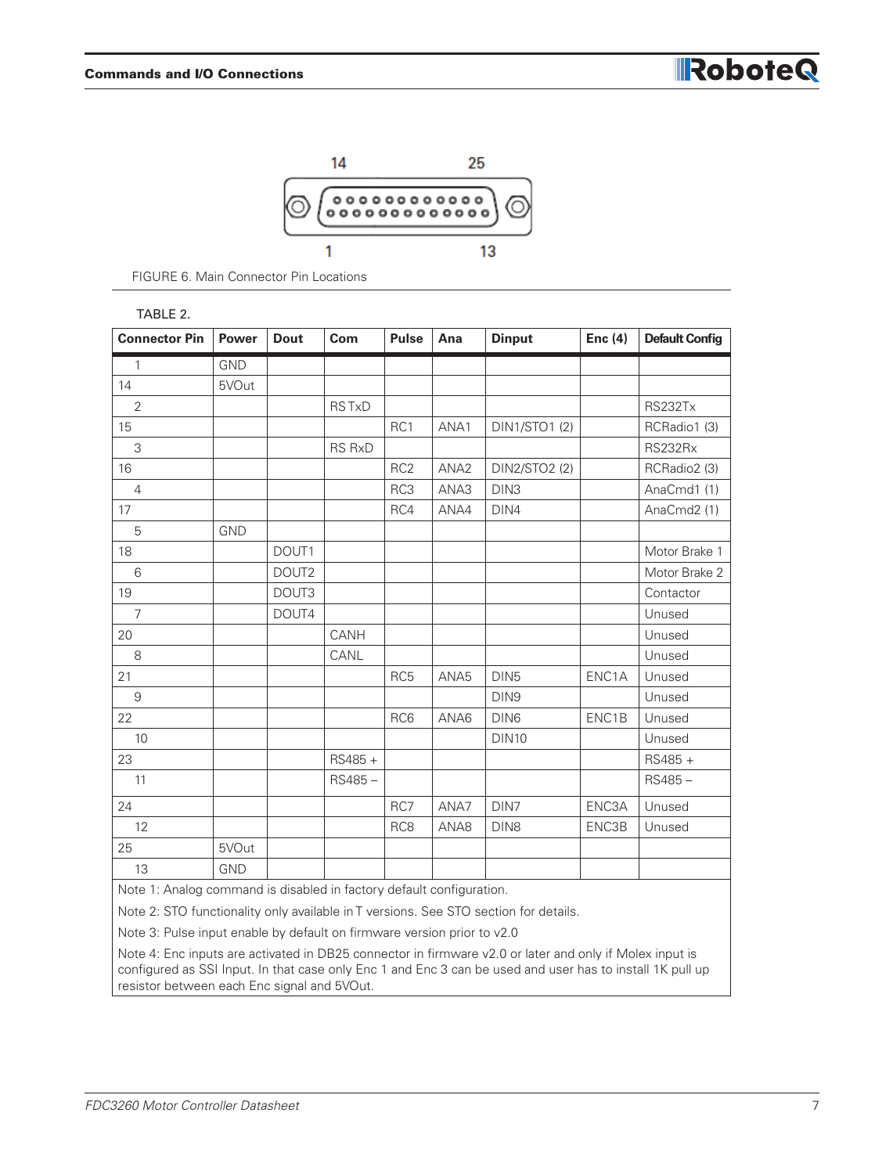

FIGURE 6. Main Connector Pin Locations

#### TABLE 2.

| <b>Connector Pin</b>                                                                 | Power      | <b>Dout</b>       | Com           | <b>Pulse</b>    | Ana              | <b>Dinput</b>        | Enc $(4)$ | <b>Default Config</b> |
|--------------------------------------------------------------------------------------|------------|-------------------|---------------|-----------------|------------------|----------------------|-----------|-----------------------|
| $\mathbf{1}$                                                                         | <b>GND</b> |                   |               |                 |                  |                      |           |                       |
| 14                                                                                   | 5VOut      |                   |               |                 |                  |                      |           |                       |
| 2                                                                                    |            |                   | <b>RSTxD</b>  |                 |                  |                      |           | <b>RS232Tx</b>        |
| 15                                                                                   |            |                   |               | RC1             | ANA1             | <b>DIN1/STO1 (2)</b> |           | RCRadio1 (3)          |
| 3                                                                                    |            |                   | <b>RS RxD</b> |                 |                  |                      |           | RS232Rx               |
| 16                                                                                   |            |                   |               | RC <sub>2</sub> | ANA <sub>2</sub> | DIN2/STO2 (2)        |           | RCRadio2 (3)          |
| $\overline{4}$                                                                       |            |                   |               | RC3             | ANA3             | DIN <sub>3</sub>     |           | AnaCmd1 (1)           |
| 17                                                                                   |            |                   |               | RC4             | ANA4             | DIN4                 |           | AnaCmd2 (1)           |
| 5                                                                                    | <b>GND</b> |                   |               |                 |                  |                      |           |                       |
| 18                                                                                   |            | DOUT1             |               |                 |                  |                      |           | Motor Brake 1         |
| $6\,$                                                                                |            | DOUT <sub>2</sub> |               |                 |                  |                      |           | Motor Brake 2         |
| 19                                                                                   |            | DOUT3             |               |                 |                  |                      |           | Contactor             |
| $\overline{7}$                                                                       |            | DOUT4             |               |                 |                  |                      |           | Unused                |
| 20                                                                                   |            |                   | CANH          |                 |                  |                      |           | Unused                |
| 8                                                                                    |            |                   | CANL          |                 |                  |                      |           | Unused                |
| 21                                                                                   |            |                   |               | RC <sub>5</sub> | ANA <sub>5</sub> | DIN <sub>5</sub>     | ENC1A     | Unused                |
| $9\,$                                                                                |            |                   |               |                 |                  | DIN9                 |           | Unused                |
| 22                                                                                   |            |                   |               | RC6             | ANA6             | DIN <sub>6</sub>     | ENC1B     | Unused                |
| 10                                                                                   |            |                   |               |                 |                  | <b>DIN10</b>         |           | Unused                |
| 23                                                                                   |            |                   | RS485+        |                 |                  |                      |           | RS485 +               |
| 11                                                                                   |            |                   | RS485-        |                 |                  |                      |           | $RS485 -$             |
| 24                                                                                   |            |                   |               | RC7             | ANA7             | DIN7                 | ENC3A     | Unused                |
| 12                                                                                   |            |                   |               | RC <sub>8</sub> | ANA8             | DIN <sub>8</sub>     | ENC3B     | Unused                |
| 25                                                                                   | 5VOut      |                   |               |                 |                  |                      |           |                       |
| 13                                                                                   | <b>GND</b> |                   |               |                 |                  |                      |           |                       |
| Note 1: Analog command is disabled in factory default configuration.                 |            |                   |               |                 |                  |                      |           |                       |
| Note 2: STO functionality only available in T versions. See STO section for details. |            |                   |               |                 |                  |                      |           |                       |

Note 3: Pulse input enable by default on firmware version prior to v2.0

Note 4: Enc inputs are activated in DB25 connector in firmware v2.0 or later and only if Molex input is configured as SSI Input. In that case only Enc 1 and Enc 3 can be used and user has to install 1K pull up resistor between each Enc signal and 5VOut.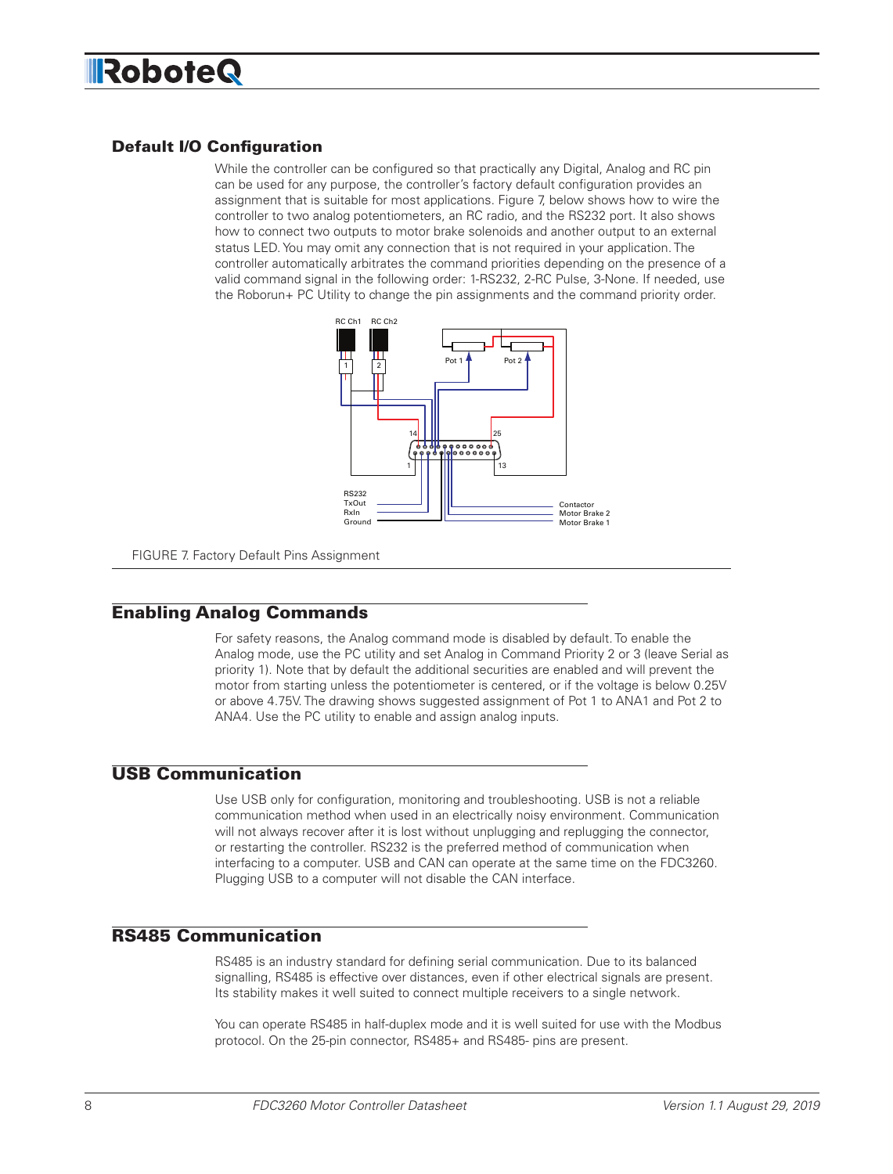# **IRoboteQ**

#### Default I/O Configuration

While the controller can be configured so that practically any Digital, Analog and RC pin can be used for any purpose, the controller's factory default configuration provides an assignment that is suitable for most applications. Figure 7, below shows how to wire the controller to two analog potentiometers, an RC radio, and the RS232 port. It also shows how to connect two outputs to motor brake solenoids and another output to an external status LED. You may omit any connection that is not required in your application. The controller automatically arbitrates the command priorities depending on the presence of a valid command signal in the following order: 1-RS232, 2-RC Pulse, 3-None. If needed, use the Roborun+ PC Utility to change the pin assignments and the command priority order.



FIGURE 7. Factory Default Pins Assignment

#### Enabling Analog Commands

For safety reasons, the Analog command mode is disabled by default. To enable the Analog mode, use the PC utility and set Analog in Command Priority 2 or 3 (leave Serial as priority 1). Note that by default the additional securities are enabled and will prevent the motor from starting unless the potentiometer is centered, or if the voltage is below 0.25V or above 4.75V. The drawing shows suggested assignment of Pot 1 to ANA1 and Pot 2 to ANA4. Use the PC utility to enable and assign analog inputs.

#### USB Communication

Use USB only for configuration, monitoring and troubleshooting. USB is not a reliable communication method when used in an electrically noisy environment. Communication will not always recover after it is lost without unplugging and replugging the connector, or restarting the controller. RS232 is the preferred method of communication when interfacing to a computer. USB and CAN can operate at the same time on the FDC3260. Plugging USB to a computer will not disable the CAN interface.

#### RS485 Communication

RS485 is an industry standard for defining serial communication. Due to its balanced signalling, RS485 is effective over distances, even if other electrical signals are present. Its stability makes it well suited to connect multiple receivers to a single network.

You can operate RS485 in half-duplex mode and it is well suited for use with the Modbus protocol. On the 25-pin connector, RS485+ and RS485- pins are present.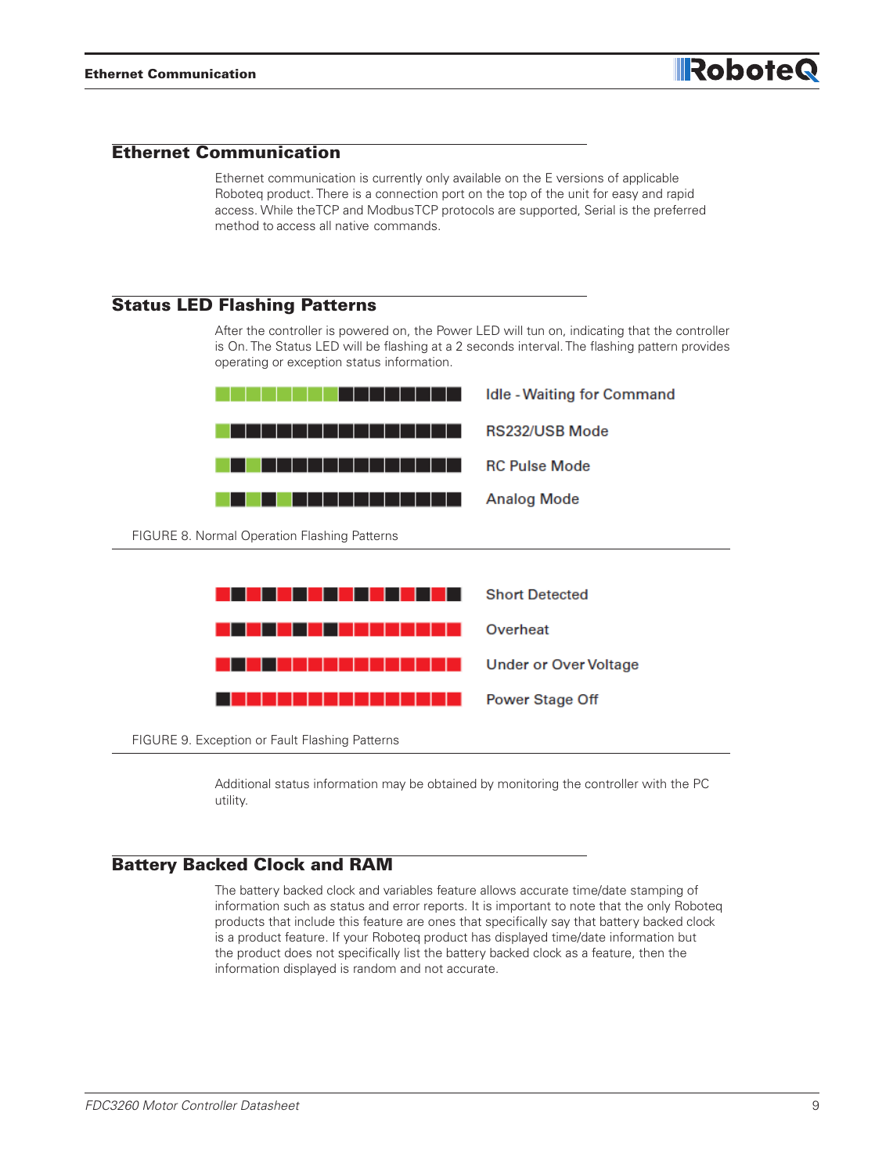#### Ethernet Communication

Ethernet communication is currently only available on the E versions of applicable Roboteq product. There is a connection port on the top of the unit for easy and rapid access. While the TCP and Modbus TCP protocols are supported, Serial is the preferred method to access all native commands.

#### Status LED Flashing Patterns

After the controller is powered on, the Power LED will tun on, indicating that the controller is On. The Status LED will be flashing at a 2 seconds interval. The flashing pattern provides operating or exception status information.



Additional status information may be obtained by monitoring the controller with the PC utility.

#### Battery Backed Clock and RAM

The battery backed clock and variables feature allows accurate time/date stamping of information such as status and error reports. It is important to note that the only Roboteq products that include this feature are ones that specifically say that battery backed clock is a product feature. If your Roboteq product has displayed time/date information but the product does not specifically list the battery backed clock as a feature, then the information displayed is random and not accurate.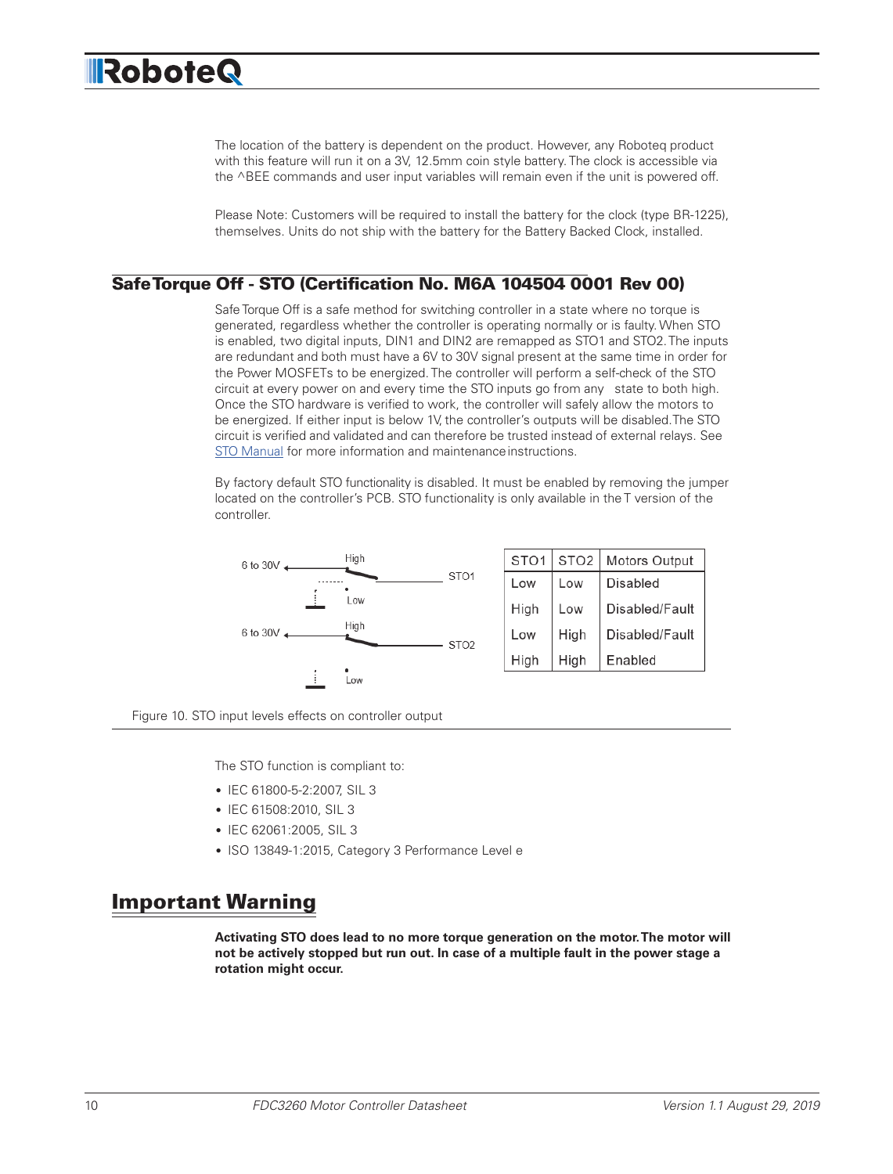The location of the battery is dependent on the product. However, any Roboteq product with this feature will run it on a 3V, 12.5mm coin style battery. The clock is accessible via the ^BEE commands and user input variables will remain even if the unit is powered off.

Please Note: Customers will be required to install the battery for the clock (type BR-1225), themselves. Units do not ship with the battery for the Battery Backed Clock, installed.

#### Safe Torque Off - STO (Certification No. M6A 104504 0001 Rev 00)

Safe Torque Off is a safe method for switching controller in a state where no torque is generated, regardless whether the controller is operating normally or is faulty. When STO is enabled, two digital inputs, DIN1 and DIN2 are remapped as STO1 and STO2. The inputs are redundant and both must have a 6V to 30V signal present at the same time in order for the Power MOSFETs to be energized. The controller will perform a self-check of the STO circuit at every power on and every time the STO inputs go from any state to both high. Once the STO hardware is verified to work, the controller will safely allow the motors to be energized. If either input is below 1V, the controller's outputs will be disabled. The STO circuit is verified and validated and can therefore be trusted instead of external relays. See [STO Manual](https://www.roboteq.com/index.php/docman/motor-controllers-documents-and-files/documentation/user-manual/716-sto-manual/file) for more information and maintenance instructions.

By factory default STO functionality is disabled. It must be enabled by removing the jumper located on the controller's PCB. STO functionality is only available in the T version of the controller.



Figure 10. STO input levels effects on controller output

The STO function is compliant to:

- IEC 61800-5-2:2007, SIL 3
- IEC 61508:2010, SIL 3
- IEC 62061:2005, SIL 3
- ISO 13849-1:2015, Category 3 Performance Level e

### Important Warning

**Activating STO does lead to no more torque generation on the motor. The motor will not be actively stopped but run out. In case of a multiple fault in the power stage a rotation might occur.**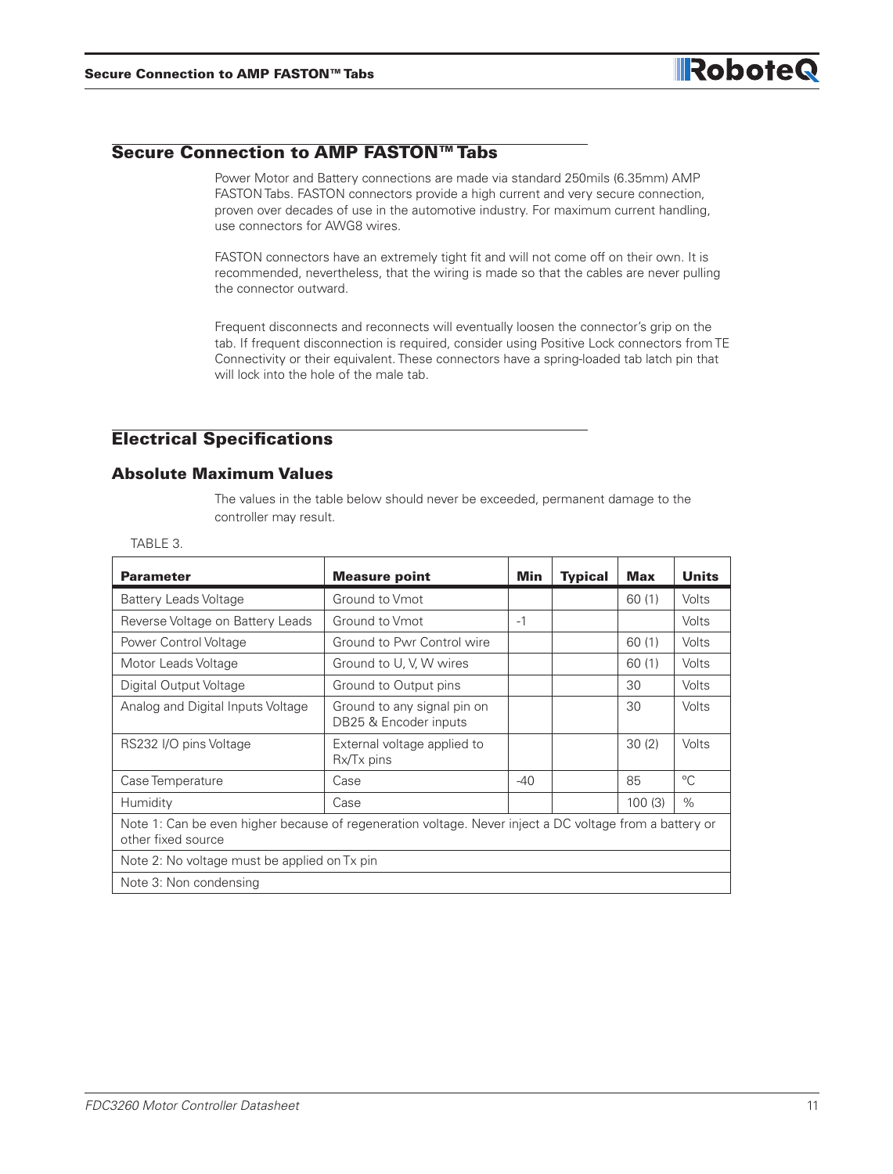#### Secure Connection to AMP FASTON™ Tabs

Power Motor and Battery connections are made via standard 250mils (6.35mm) AMP FASTON Tabs. FASTON connectors provide a high current and very secure connection, proven over decades of use in the automotive industry. For maximum current handling, use connectors for AWG8 wires.

FASTON connectors have an extremely tight fit and will not come off on their own. It is recommended, nevertheless, that the wiring is made so that the cables are never pulling the connector outward.

Frequent disconnects and reconnects will eventually loosen the connector's grip on the tab. If frequent disconnection is required, consider using Positive Lock connectors from TE Connectivity or their equivalent. These connectors have a spring-loaded tab latch pin that will lock into the hole of the male tab.

#### Electrical Specifications

#### Absolute Maximum Values

The values in the table below should never be exceeded, permanent damage to the controller may result.

| <b>Parameter</b>                                                                                                              | <b>Measure point</b>                                 | Min   | <b>Typical</b> | <b>Max</b> | <b>Units</b> |
|-------------------------------------------------------------------------------------------------------------------------------|------------------------------------------------------|-------|----------------|------------|--------------|
| <b>Battery Leads Voltage</b>                                                                                                  | Ground to Vmot                                       |       |                | 60(1)      | Volts        |
| Reverse Voltage on Battery Leads                                                                                              | Ground to Vmot                                       | $-1$  |                |            | Volts        |
| Power Control Voltage                                                                                                         | Ground to Pwr Control wire                           |       |                | 60(1)      | Volts        |
| Motor Leads Voltage                                                                                                           | Ground to U, V, W wires                              |       |                | 60(1)      | Volts        |
| Digital Output Voltage                                                                                                        | Ground to Output pins                                |       |                | 30         | Volts        |
| Analog and Digital Inputs Voltage                                                                                             | Ground to any signal pin on<br>DB25 & Encoder inputs |       |                | 30         | Volts        |
| RS232 I/O pins Voltage                                                                                                        | External voltage applied to<br>$Rx/Tx$ pins          |       |                | 30(2)      | Volts        |
| Case Temperature                                                                                                              | Case                                                 | $-40$ |                | 85         | $^{\circ}C$  |
| Humidity                                                                                                                      | Case                                                 |       |                | 100(3)     | $\%$         |
| Note 1: Can be even higher because of regeneration voltage. Never inject a DC voltage from a battery or<br>other fixed source |                                                      |       |                |            |              |
| Note 2: No voltage must be applied on Tx pin                                                                                  |                                                      |       |                |            |              |
| Note 3: Non condensing                                                                                                        |                                                      |       |                |            |              |

#### TABLE 3.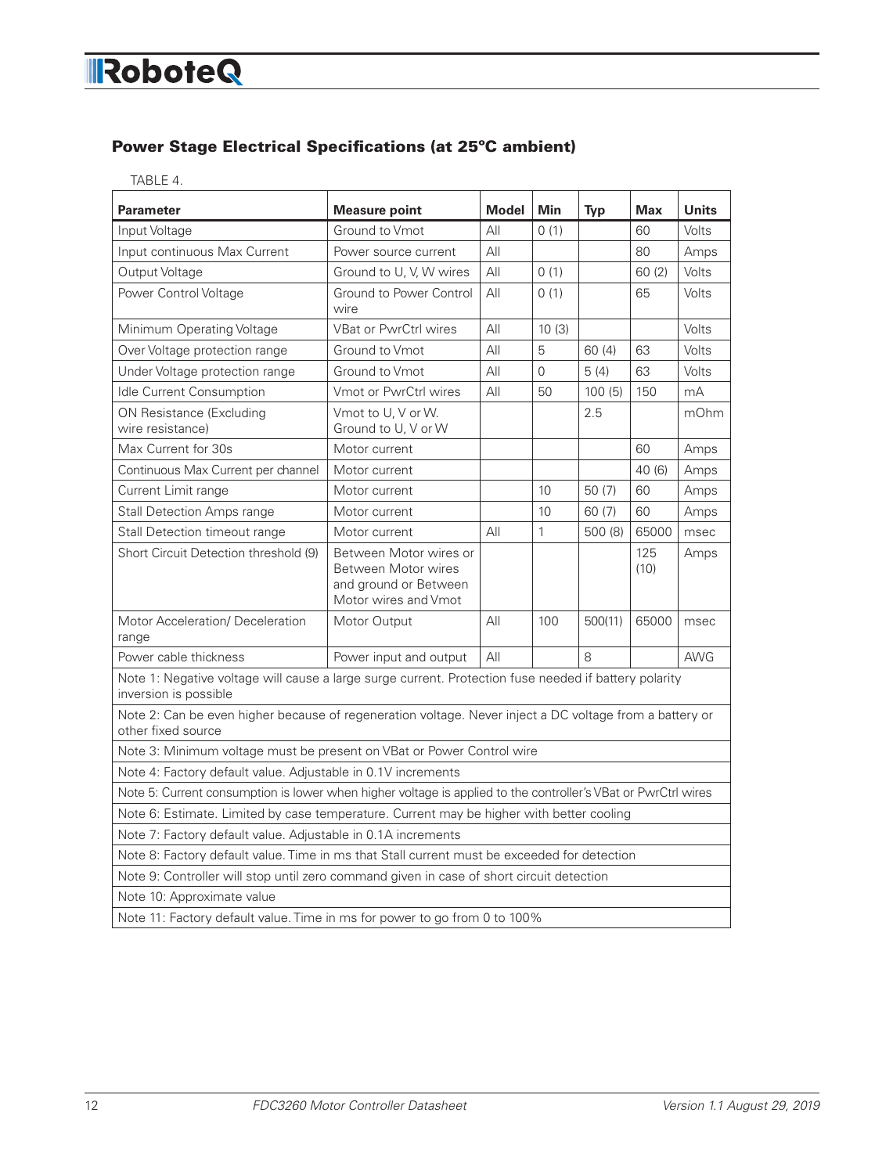#### Power Stage Electrical Specifications (at 25ºC ambient)

| <b>Parameter</b>                                                                                                               | <b>Measure point</b>                                                                           | <b>Model</b> | Min          | <b>Typ</b> | <b>Max</b>  | <b>Units</b> |  |  |
|--------------------------------------------------------------------------------------------------------------------------------|------------------------------------------------------------------------------------------------|--------------|--------------|------------|-------------|--------------|--|--|
| Input Voltage                                                                                                                  | Ground to Vmot                                                                                 | All          | 0(1)         |            | 60          | Volts        |  |  |
| Input continuous Max Current                                                                                                   | Power source current                                                                           | All          |              |            | 80          | Amps         |  |  |
| Output Voltage                                                                                                                 | Ground to U, V, W wires                                                                        | All          | 0(1)         |            | 60(2)       | Volts        |  |  |
| Power Control Voltage                                                                                                          | Ground to Power Control<br>wire                                                                | All          | 0(1)         |            | 65          | Volts        |  |  |
| Minimum Operating Voltage                                                                                                      | <b>VBat or PwrCtrl wires</b>                                                                   | All          | 10(3)        |            |             | Volts        |  |  |
| Over Voltage protection range                                                                                                  | Ground to Vmot                                                                                 | AlI          | 5            | 60(4)      | 63          | Volts        |  |  |
| Under Voltage protection range                                                                                                 | Ground to Vmot                                                                                 | All          | $\Omega$     | 5(4)       | 63          | Volts        |  |  |
| Idle Current Consumption                                                                                                       | Vmot or PwrCtrl wires                                                                          | All          | 50           | 100(5)     | 150         | mA           |  |  |
| ON Resistance (Excluding<br>wire resistance)                                                                                   | Vmot to U. V or W.<br>Ground to U, V or W                                                      |              |              | 2.5        |             | mOhm         |  |  |
| Max Current for 30s                                                                                                            | Motor current                                                                                  |              |              |            | 60          | Amps         |  |  |
| Continuous Max Current per channel                                                                                             | Motor current                                                                                  |              |              |            | 40(6)       | Amps         |  |  |
| Current Limit range                                                                                                            | Motor current                                                                                  |              | 10           | 50(7)      | 60          | Amps         |  |  |
| <b>Stall Detection Amps range</b>                                                                                              | Motor current                                                                                  |              | 10           | 60(7)      | 60          | Amps         |  |  |
| Stall Detection timeout range                                                                                                  | Motor current                                                                                  | All          | $\mathbf{1}$ | 500 (8)    | 65000       | msec         |  |  |
| Short Circuit Detection threshold (9)                                                                                          | Between Motor wires or<br>Between Motor wires<br>and ground or Between<br>Motor wires and Vmot |              |              |            | 125<br>(10) | Amps         |  |  |
| <b>Motor Acceleration/ Deceleration</b><br>range                                                                               | Motor Output                                                                                   | All          | 100          | 500(11)    | 65000       | msec         |  |  |
| Power cable thickness                                                                                                          | Power input and output                                                                         | AlI          |              | 8          |             | <b>AWG</b>   |  |  |
| Note 1: Negative voltage will cause a large surge current. Protection fuse needed if battery polarity<br>inversion is possible |                                                                                                |              |              |            |             |              |  |  |
| Note 2: Can be even higher because of regeneration voltage. Never inject a DC voltage from a battery or<br>other fixed source  |                                                                                                |              |              |            |             |              |  |  |
| Note 3: Minimum voltage must be present on VBat or Power Control wire                                                          |                                                                                                |              |              |            |             |              |  |  |
| Note 4: Factory default value. Adjustable in 0.1V increments                                                                   |                                                                                                |              |              |            |             |              |  |  |
| Note 5: Current consumption is lower when higher voltage is applied to the controller's VBat or PwrCtrl wires                  |                                                                                                |              |              |            |             |              |  |  |
| Note 6: Estimate. Limited by case temperature. Current may be higher with better cooling                                       |                                                                                                |              |              |            |             |              |  |  |
| Note 7: Factory default value. Adjustable in 0.1A increments                                                                   |                                                                                                |              |              |            |             |              |  |  |
| Note 8: Factory default value. Time in ms that Stall current must be exceeded for detection                                    |                                                                                                |              |              |            |             |              |  |  |
| Note 9: Controller will stop until zero command given in case of short circuit detection                                       |                                                                                                |              |              |            |             |              |  |  |
| Note 10: Approximate value                                                                                                     |                                                                                                |              |              |            |             |              |  |  |
|                                                                                                                                | Note 11: Factory default value. Time in ms for power to go from 0 to 100%                      |              |              |            |             |              |  |  |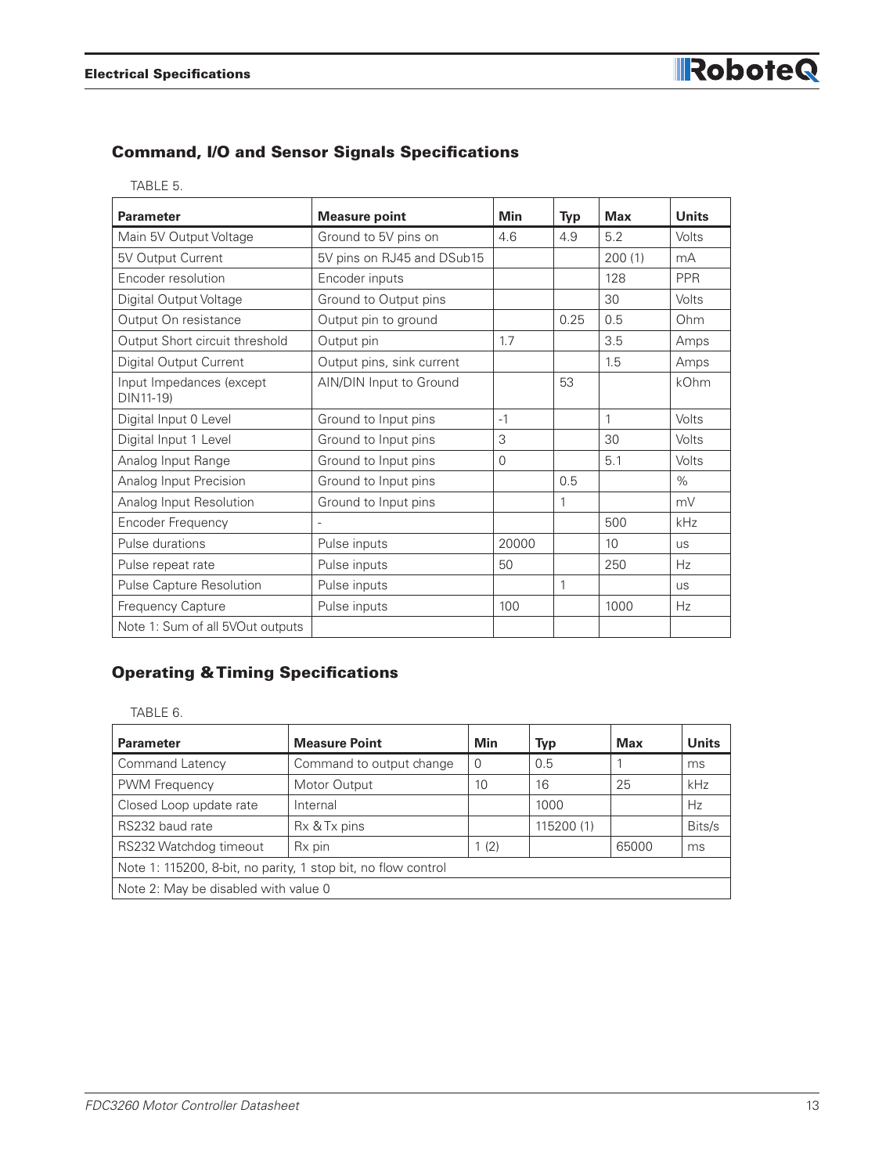#### Command, I/O and Sensor Signals Specifications

| <b>Parameter</b>                      | <b>Measure point</b>       | Min   | <b>Typ</b> | <b>Max</b> | <b>Units</b> |
|---------------------------------------|----------------------------|-------|------------|------------|--------------|
| Main 5V Output Voltage                | Ground to 5V pins on       | 4.6   | 4.9        | 5.2        | Volts        |
| 5V Output Current                     | 5V pins on RJ45 and DSub15 |       |            | 200(1)     | mA           |
| Encoder resolution                    | Encoder inputs             |       |            | 128        | <b>PPR</b>   |
| Digital Output Voltage                | Ground to Output pins      |       |            | 30         | Volts        |
| Output On resistance                  | Output pin to ground       |       | 0.25       | 0.5        | Ohm          |
| Output Short circuit threshold        | Output pin                 | 1.7   |            | 3.5        | Amps         |
| Digital Output Current                | Output pins, sink current  |       |            | 1.5        | Amps         |
| Input Impedances (except<br>DIN11-19) | AIN/DIN Input to Ground    |       | 53         |            | kOhm         |
| Digital Input 0 Level                 | Ground to Input pins       | $-1$  |            | 1          | Volts        |
| Digital Input 1 Level                 | Ground to Input pins       | 3     |            | 30         | Volts        |
| Analog Input Range                    | Ground to Input pins       | 0     |            | 5.1        | Volts        |
| Analog Input Precision                | Ground to Input pins       |       | 0.5        |            | $\%$         |
| Analog Input Resolution               | Ground to Input pins       |       | 1          |            | mV           |
| Encoder Frequency                     |                            |       |            | 500        | kHz          |
| Pulse durations                       | Pulse inputs               | 20000 |            | 10         | <b>US</b>    |
| Pulse repeat rate                     | Pulse inputs               | 50    |            | 250        | Hz           |
| Pulse Capture Resolution              | Pulse inputs               |       | 1          |            | <b>US</b>    |
| Frequency Capture                     | Pulse inputs               | 100   |            | 1000       | Hz           |
| Note 1: Sum of all 5VOut outputs      |                            |       |            |            |              |

#### Operating & Timing Specifications

TABLE 6.

| <b>Parameter</b>                                              | <b>Measure Point</b>     | Min  | Typ        | <b>Max</b> | <b>Units</b> |  |  |
|---------------------------------------------------------------|--------------------------|------|------------|------------|--------------|--|--|
| Command Latency                                               | Command to output change | 0    | 0.5        |            | ms           |  |  |
| PWM Frequency                                                 | Motor Output             | 10   | 16         | 25         | kHz          |  |  |
| Closed Loop update rate                                       | Internal                 |      | 1000       |            | Hz           |  |  |
| RS232 baud rate                                               | Rx & Tx pins             |      | 115200 (1) |            | Bits/s       |  |  |
| RS232 Watchdog timeout                                        | Rx pin                   | 1(2) |            | 65000      | ms           |  |  |
| Note 1: 115200, 8-bit, no parity, 1 stop bit, no flow control |                          |      |            |            |              |  |  |
| Note 2: May be disabled with value 0                          |                          |      |            |            |              |  |  |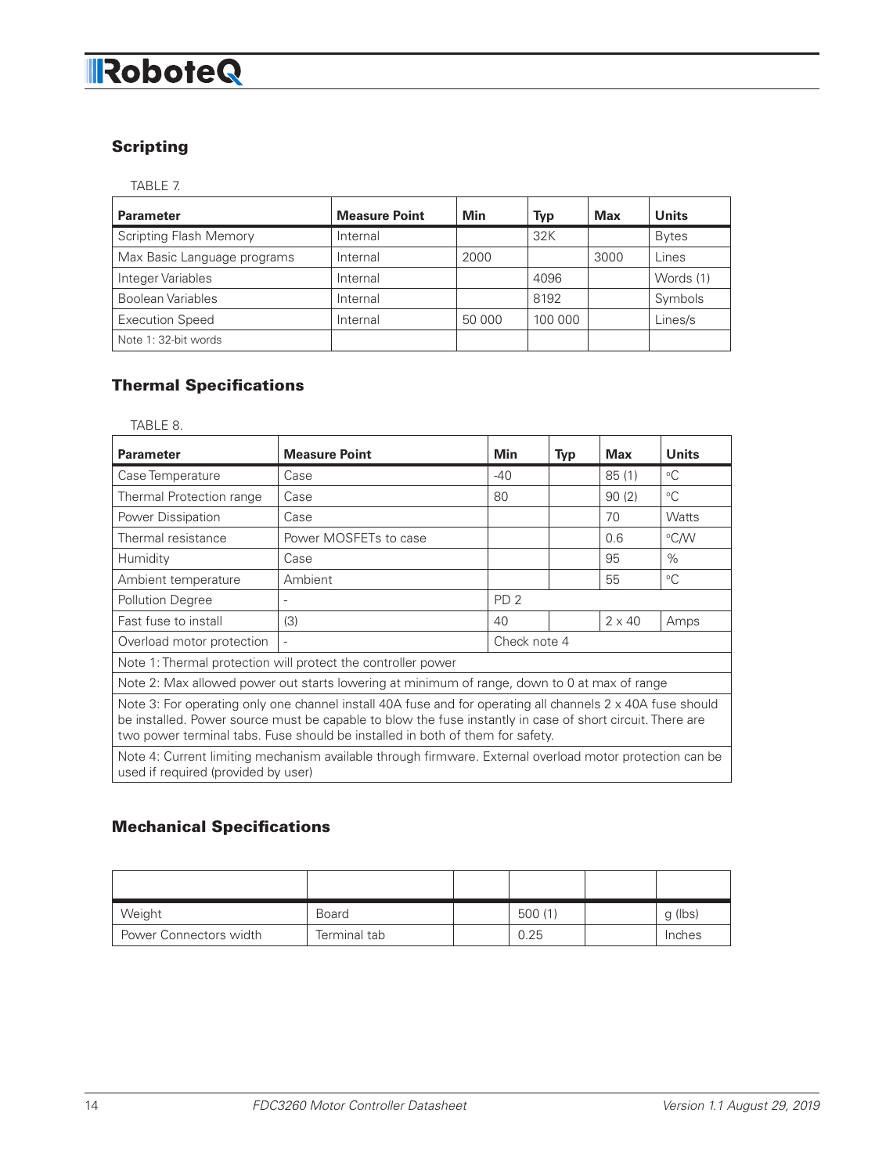# **RoboteQ**

### **Scripting**

TABLE 7.

| <b>Parameter</b>              | <b>Measure Point</b> | Min    | <b>Typ</b> | <b>Max</b> | <b>Units</b> |
|-------------------------------|----------------------|--------|------------|------------|--------------|
| <b>Scripting Flash Memory</b> | Internal             |        | 32K        |            | <b>Bytes</b> |
| Max Basic Language programs   | Internal             | 2000   |            | 3000       | Lines        |
| Integer Variables             | Internal             |        | 4096       |            | Words (1)    |
| <b>Boolean Variables</b>      | Internal             |        | 8192       |            | Symbols      |
| <b>Execution Speed</b>        | Internal             | 50 000 | 100 000    |            | Lines/s      |
| Note 1: 32-bit words          |                      |        |            |            |              |

#### Thermal Specifications

TABLE 8.

| <b>Parameter</b>                                                                                                                                                                                                                                                                                                 | <b>Measure Point</b>  | <b>Min</b>      | <b>Typ</b> | <b>Max</b>    | <b>Units</b> |
|------------------------------------------------------------------------------------------------------------------------------------------------------------------------------------------------------------------------------------------------------------------------------------------------------------------|-----------------------|-----------------|------------|---------------|--------------|
| Case Temperature                                                                                                                                                                                                                                                                                                 | Case                  | $-40$           |            | 85(1)         | $^{\circ}C$  |
| Thermal Protection range                                                                                                                                                                                                                                                                                         | Case                  | 80              |            | 90(2)         | $^{\circ}C$  |
| Power Dissipation                                                                                                                                                                                                                                                                                                | Case                  |                 |            | 70            | <b>Watts</b> |
| Thermal resistance                                                                                                                                                                                                                                                                                               | Power MOSFETs to case |                 |            | 0.6           | °C/W         |
| Humidity                                                                                                                                                                                                                                                                                                         | Case                  |                 |            | 95            | $\%$         |
| Ambient temperature                                                                                                                                                                                                                                                                                              | Ambient               |                 |            | 55            | $\circ$ C    |
| <b>Pollution Degree</b>                                                                                                                                                                                                                                                                                          |                       | PD <sub>2</sub> |            |               |              |
| Fast fuse to install                                                                                                                                                                                                                                                                                             | (3)                   | 40              |            | $2 \times 40$ | Amps         |
| Overload motor protection                                                                                                                                                                                                                                                                                        |                       | Check note 4    |            |               |              |
| Note 1: Thermal protection will protect the controller power                                                                                                                                                                                                                                                     |                       |                 |            |               |              |
| Note 2: Max allowed power out starts lowering at minimum of range, down to 0 at max of range                                                                                                                                                                                                                     |                       |                 |            |               |              |
| Note 3: For operating only one channel install 40A fuse and for operating all channels $2 \times 40$ A fuse should<br>be installed. Power source must be capable to blow the fuse instantly in case of short circuit. There are<br>two power terminal tabs. Fuse should be installed in both of them for safety. |                       |                 |            |               |              |
| Note 4: Current limiting mechanism available through firmware. External overload motor protection can be<br>used if required (provided by user)                                                                                                                                                                  |                       |                 |            |               |              |

#### Mechanical Specifications

| Weight                 | <b>Board</b> | 500 (1) | g (lbs) |
|------------------------|--------------|---------|---------|
| Power Connectors width | Terminal tab | 0.25    | Inches  |